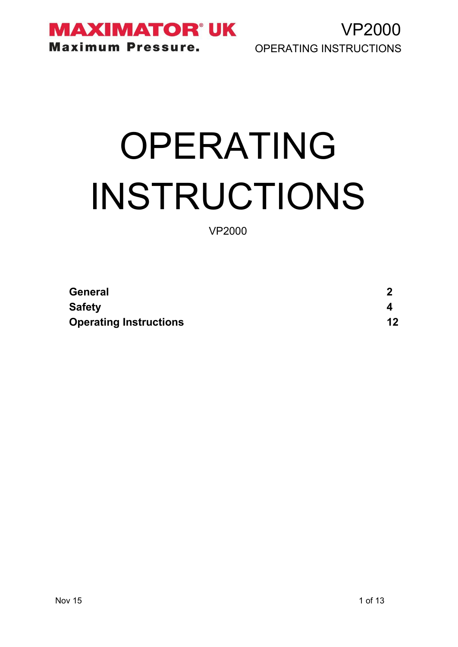

VP2000 OPERATING INSTRUCTIONS

# OPERATING INSTRUCTIONS

VP2000

| <b>General</b>                |         |
|-------------------------------|---------|
| <b>Safety</b>                 |         |
| <b>Operating Instructions</b> | $12 \,$ |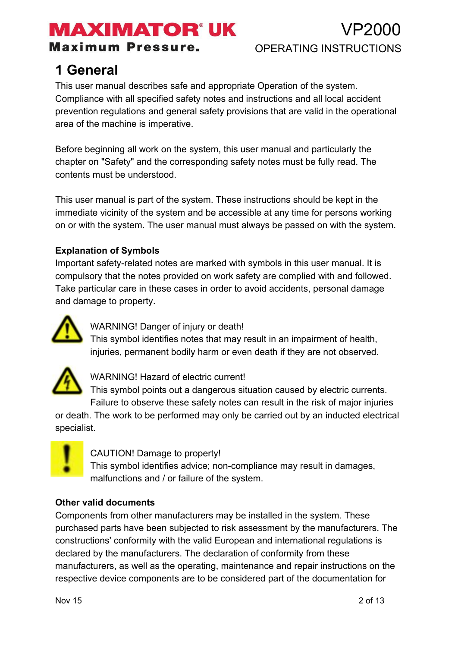## MAXIMATOR®UK

**Maximum Pressure.** 

### VP2000 OPERATING INSTRUCTIONS

### **1 General**

This user manual describes safe and appropriate Operation of the system. Compliance with all specified safety notes and instructions and all local accident prevention regulations and general safety provisions that are valid in the operational area of the machine is imperative.

Before beginning all work on the system, this user manual and particularly the chapter on "Safety" and the corresponding safety notes must be fully read. The contents must be understood.

This user manual is part of the system. These instructions should be kept in the immediate vicinity of the system and be accessible at any time for persons working on or with the system. The user manual must always be passed on with the system.

#### **Explanation of Symbols**

Important safety-related notes are marked with symbols in this user manual. It is compulsory that the notes provided on work safety are complied with and followed. Take particular care in these cases in order to avoid accidents, personal damage and damage to property.



WARNING! Danger of injury or death!

This symbol identifies notes that may result in an impairment of health, injuries, permanent bodily harm or even death if they are not observed.



WARNING! Hazard of electric current!

This symbol points out a dangerous situation caused by electric currents. Failure to observe these safety notes can result in the risk of major injuries

or death. The work to be performed may only be carried out by an inducted electrical specialist.



CAUTION! Damage to property!

This symbol identifies advice; non-compliance may result in damages, malfunctions and / or failure of the system.

#### **Other valid documents**

Components from other manufacturers may be installed in the system. These purchased parts have been subjected to risk assessment by the manufacturers. The constructions' conformity with the valid European and international regulations is declared by the manufacturers. The declaration of conformity from these manufacturers, as well as the operating, maintenance and repair instructions on the respective device components are to be considered part of the documentation for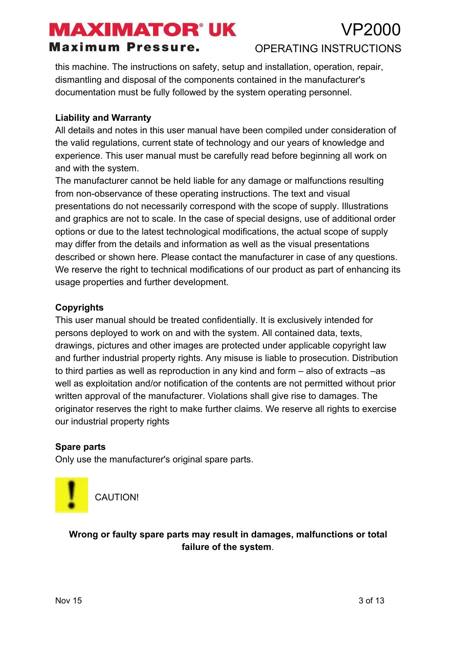#### **Maximum Pressure.**

#### P2000 OPERATING INSTRUCTIONS

this machine. The instructions on safety, setup and installation, operation, repair, dismantling and disposal of the components contained in the manufacturer's documentation must be fully followed by the system operating personnel.

#### **Liability and Warranty**

All details and notes in this user manual have been compiled under consideration of the valid regulations, current state of technology and our years of knowledge and experience. This user manual must be carefully read before beginning all work on and with the system.

The manufacturer cannot be held liable for any damage or malfunctions resulting from non-observance of these operating instructions. The text and visual presentations do not necessarily correspond with the scope of supply. Illustrations and graphics are not to scale. In the case of special designs, use of additional order options or due to the latest technological modifications, the actual scope of supply may differ from the details and information as well as the visual presentations described or shown here. Please contact the manufacturer in case of any questions. We reserve the right to technical modifications of our product as part of enhancing its usage properties and further development.

#### **Copyrights**

This user manual should be treated confidentially. It is exclusively intended for persons deployed to work on and with the system. All contained data, texts, drawings, pictures and other images are protected under applicable copyright law and further industrial property rights. Any misuse is liable to prosecution. Distribution to third parties as well as reproduction in any kind and form – also of extracts –as well as exploitation and/or notification of the contents are not permitted without prior written approval of the manufacturer. Violations shall give rise to damages. The originator reserves the right to make further claims. We reserve all rights to exercise our industrial property rights

#### **Spare parts**

Only use the manufacturer's original spare parts.



CAUTION!

**Wrong or faulty spare parts may result in damages, malfunctions or total failure of the system**.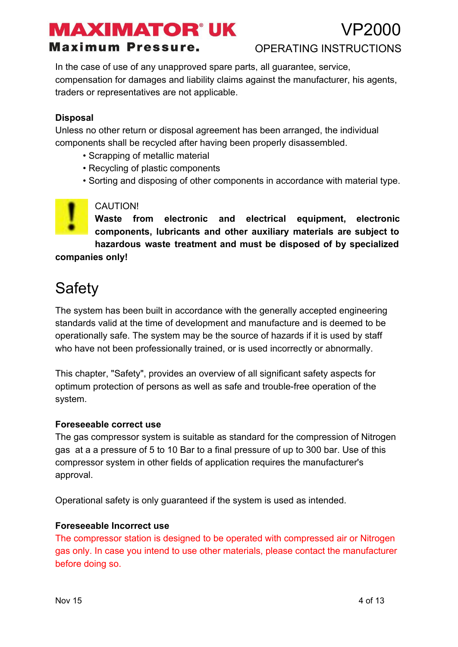#### **Maximum Pressure.**

VP2000

OPERATING INSTRUCTIONS

In the case of use of any unapproved spare parts, all guarantee, service, compensation for damages and liability claims against the manufacturer, his agents, traders or representatives are not applicable.

#### **Disposal**

Unless no other return or disposal agreement has been arranged, the individual components shall be recycled after having been properly disassembled.

- Scrapping of metallic material
- Recycling of plastic components
- Sorting and disposing of other components in accordance with material type.

#### CAUTION!

**Waste from electronic and electrical equipment, electronic components, lubricants and other auxiliary materials are subject to hazardous waste treatment and must be disposed of by specialized**

**companies only!**

### **Safety**

The system has been built in accordance with the generally accepted engineering standards valid at the time of development and manufacture and is deemed to be operationally safe. The system may be the source of hazards if it is used by staff who have not been professionally trained, or is used incorrectly or abnormally.

This chapter, "Safety", provides an overview of all significant safety aspects for optimum protection of persons as well as safe and trouble-free operation of the system.

#### **Foreseeable correct use**

The gas compressor system is suitable as standard for the compression of Nitrogen gas at a a pressure of 5 to 10 Bar to a final pressure of up to 300 bar. Use of this compressor system in other fields of application requires the manufacturer's approval.

Operational safety is only guaranteed if the system is used as intended.

#### **Foreseeable Incorrect use**

The compressor station is designed to be operated with compressed air or Nitrogen gas only. In case you intend to use other materials, please contact the manufacturer before doing so.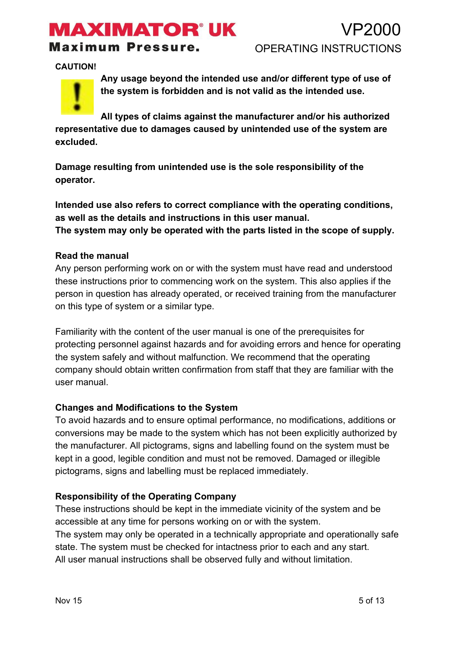**Maximum Pressure.** 

**CAUTION!**



**Any usage beyond the intended use and/or different type of use of the system is forbidden and is not valid as the intended use.**

**All types of claims against the manufacturer and/or his authorized representative due to damages caused by unintended use of the system are excluded.**

**Damage resulting from unintended use is the sole responsibility of the operator.**

**Intended use also refers to correct compliance with the operating conditions, as well as the details and instructions in this user manual. The system may only be operated with the parts listed in the scope of supply.**

#### **Read the manual**

Any person performing work on or with the system must have read and understood these instructions prior to commencing work on the system. This also applies if the person in question has already operated, or received training from the manufacturer on this type of system or a similar type.

Familiarity with the content of the user manual is one of the prerequisites for protecting personnel against hazards and for avoiding errors and hence for operating the system safely and without malfunction. We recommend that the operating company should obtain written confirmation from staff that they are familiar with the user manual.

#### **Changes and Modifications to the System**

To avoid hazards and to ensure optimal performance, no modifications, additions or conversions may be made to the system which has not been explicitly authorized by the manufacturer. All pictograms, signs and labelling found on the system must be kept in a good, legible condition and must not be removed. Damaged or illegible pictograms, signs and labelling must be replaced immediately.

#### **Responsibility of the Operating Company**

These instructions should be kept in the immediate vicinity of the system and be accessible at any time for persons working on or with the system.

The system may only be operated in a technically appropriate and operationally safe state. The system must be checked for intactness prior to each and any start. All user manual instructions shall be observed fully and without limitation.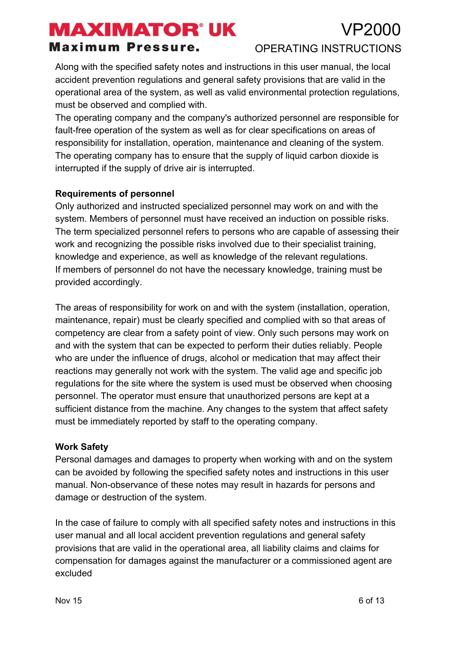### 'P'2000 OPERATING INSTRUCTIONS

#### **Maximum Pressure.**

Along with the specified safety notes and instructions in this user manual, the local accident prevention regulations and general safety provisions that are valid in the operational area of the system, as well as valid environmental protection regulations, must be observed and complied with.

The operating company and the company's authorized personnel are responsible for fault-free operation of the system as well as for clear specifications on areas of responsibility for installation, operation, maintenance and cleaning of the system. The operating company has to ensure that the supply of liquid carbon dioxide is interrupted if the supply of drive air is interrupted.

#### **Requirements of personnel**

Only authorized and instructed specialized personnel may work on and with the system. Members of personnel must have received an induction on possible risks. The term specialized personnel refers to persons who are capable of assessing their work and recognizing the possible risks involved due to their specialist training, knowledge and experience, as well as knowledge of the relevant regulations. If members of personnel do not have the necessary knowledge, training must be provided accordingly.

The areas of responsibility for work on and with the system (installation, operation, maintenance, repair) must be clearly specified and complied with so that areas of competency are clear from a safety point of view. Only such persons may work on and with the system that can be expected to perform their duties reliably. People who are under the influence of drugs, alcohol or medication that may affect their reactions may generally not work with the system. The valid age and specific job regulations for the site where the system is used must be observed when choosing personnel. The operator must ensure that unauthorized persons are kept at a sufficient distance from the machine. Any changes to the system that affect safety must be immediately reported by staff to the operating company.

#### **Work Safety**

Personal damages and damages to property when working with and on the system can be avoided by following the specified safety notes and instructions in this user manual. Non-observance of these notes may result in hazards for persons and damage or destruction of the system.

In the case of failure to comply with all specified safety notes and instructions in this user manual and all local accident prevention regulations and general safety provisions that are valid in the operational area, all liability claims and claims for compensation for damages against the manufacturer or a commissioned agent are excluded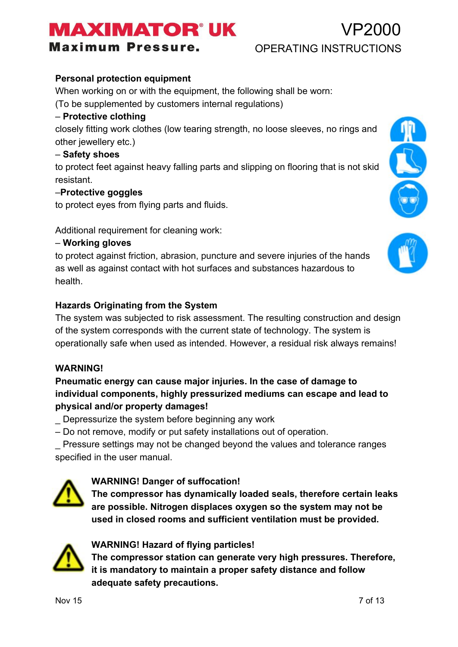# **AXIMATOR®UK**

**Maximum Pressure.** 

#### **Personal protection equipment**

When working on or with the equipment, the following shall be worn:

(To be supplemented by customers internal regulations)

#### – **Protective clothing**

closely fitting work clothes (low tearing strength, no loose sleeves, no rings and other jewellery etc.)

#### – **Safety shoes**

to protect feet against heavy falling parts and slipping on flooring that is not skid resistant.

#### –**Protective goggles**

to protect eyes from flying parts and fluids.

Additional requirement for cleaning work:

#### – **Working gloves**

to protect against friction, abrasion, puncture and severe injuries of the hands as well as against contact with hot surfaces and substances hazardous to health.

#### **Hazards Originating from the System**

The system was subjected to risk assessment. The resulting construction and design of the system corresponds with the current state of technology. The system is operationally safe when used as intended. However, a residual risk always remains!

#### **WARNING!**

#### **Pneumatic energy can cause major injuries. In the case of damage to individual components, highly pressurized mediums can escape and lead to physical and/or property damages!**

Depressurize the system before beginning any work

– Do not remove, modify or put safety installations out of operation.

\_ Pressure settings may not be changed beyond the values and tolerance ranges specified in the user manual.



**The compressor has dynamically loaded seals, therefore certain leaks are possible. Nitrogen displaces oxygen so the system may not be used in closed rooms and sufficient ventilation must be provided.**



#### **WARNING! Hazard of flying particles!**

**The compressor station can generate very high pressures. Therefore, it is mandatory to maintain a proper safety distance and follow adequate safety precautions.**





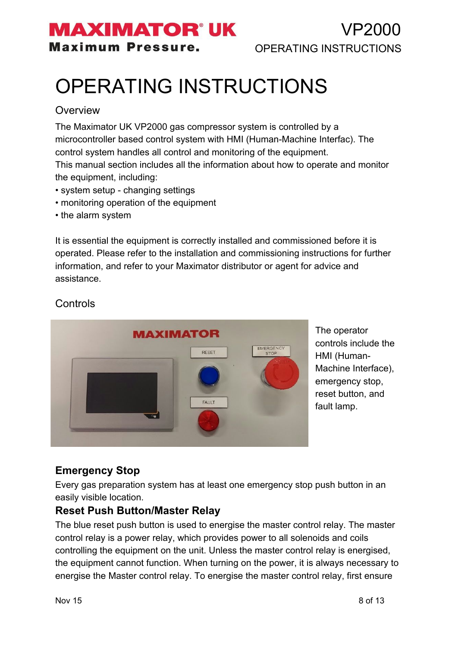### **MAXIMATOR' UK Maximum Pressure.**

# OPERATING INSTRUCTIONS

#### **Overview**

The Maximator UK VP2000 gas compressor system is controlled by a microcontroller based control system with HMI (Human-Machine Interfac). The control system handles all control and monitoring of the equipment. This manual section includes all the information about how to operate and monitor

the equipment, including:

- system setup changing settings
- monitoring operation of the equipment
- the alarm system

It is essential the equipment is correctly installed and commissioned before it is operated. Please refer to the installation and commissioning instructions for further information, and refer to your Maximator distributor or agent for advice and assistance.



The operator controls include the HMI (Human-Machine Interface), emergency stop, reset button, and fault lamp.

#### **Controls**

#### **Emergency Stop**

Every gas preparation system has at least one emergency stop push button in an easily visible location.

#### **Reset Push Button/Master Relay**

The blue reset push button is used to energise the master control relay. The master control relay is a power relay, which provides power to all solenoids and coils controlling the equipment on the unit. Unless the master control relay is energised, the equipment cannot function. When turning on the power, it is always necessary to energise the Master control relay. To energise the master control relay, first ensure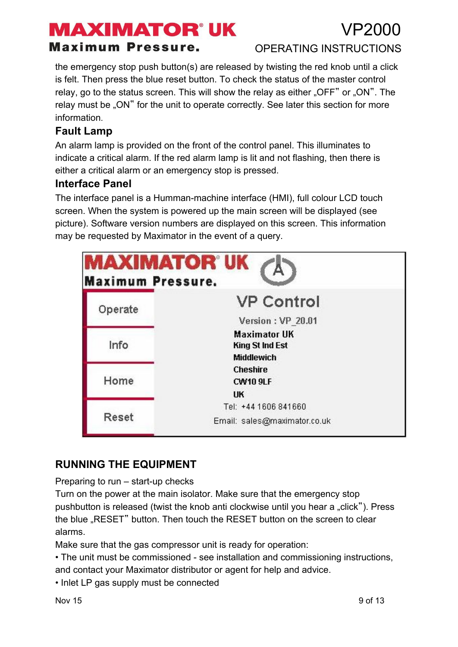**Maximum Pressure.** 

### OPERATING INSTRUCTIONS

7P2000

the emergency stop push button(s) are released by twisting the red knob until a click is felt. Then press the blue reset button. To check the status of the master control relay, go to the status screen. This will show the relay as either " $OFF$ " or " $ON$ ". The relay must be "ON" for the unit to operate correctly. See later this section for more information.

#### **Fault Lamp**

An alarm lamp is provided on the front of the control panel. This illuminates to indicate a critical alarm. If the red alarm lamp is lit and not flashing, then there is either a critical alarm or an emergency stop is pressed.

#### **Interface Panel**

The interface panel is a Humman-machine interface (HMI), full colour LCD touch screen. When the system is powered up the main screen will be displayed (see picture). Software version numbers are displayed on this screen. This information may be requested by Maximator in the event of a query.

| MAXIMATOR° UK<br><b>Maximum Pressure.</b> |                              |  |
|-------------------------------------------|------------------------------|--|
| Operate                                   | <b>VP Control</b>            |  |
|                                           | Version: VP 20.01            |  |
|                                           | <b>Maximator UK</b>          |  |
| Info                                      | <b>King St Ind Est</b>       |  |
|                                           | <b>Middlewich</b>            |  |
|                                           | <b>Cheshire</b>              |  |
| Home                                      | <b>CW10 9LF</b>              |  |
|                                           | UK                           |  |
|                                           | Tel: +44 1606 841660         |  |
| Reset                                     | Email: sales@maximator.co.uk |  |

#### **RUNNING THE EQUIPMENT**

Preparing to run  $-$  start-up checks

Turn on the power at the main isolator. Make sure that the emergency stop pushbutton is released (twist the knob anti clockwise until you hear a "click"). Press the blue "RESET" button. Then touch the RESET button on the screen to clear alarms.

Make sure that the gas compressor unit is ready for operation:

• The unit must be commissioned - see installation and commissioning instructions, and contact your Maximator distributor or agent for help and advice.

• Inlet LP gas supply must be connected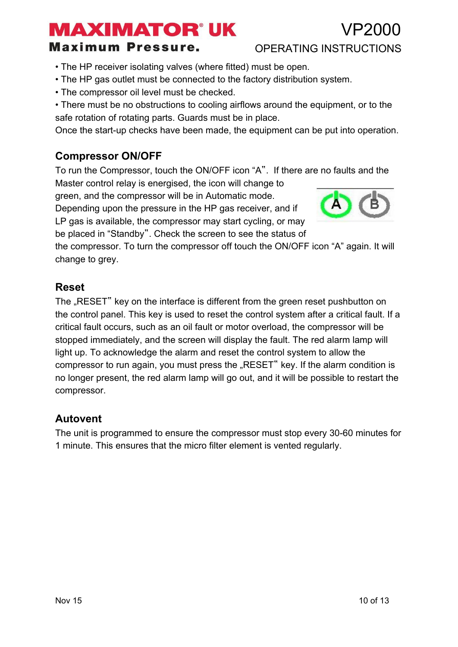### アンロロ

**Maximum Pressure.** 

#### OPERATING INSTRUCTIONS

- The HP receiver isolating valves (where fitted) must be open.
- The HP gas outlet must be connected to the factory distribution system.
- The compressor oil level must be checked.
- There must be no obstructions to cooling airflows around the equipment, or to the safe rotation of rotating parts. Guards must be in place.

Once the start-up checks have been made, the equipment can be put into operation.

#### **Compressor ON/OFF**

To run the Compressor, touch the ON/OFF icon "A". If there are no faults and the Master control relay is energised, the icon will change to

green, and the compressor will be in Automatic mode.

Depending upon the pressure in the HP gas receiver, and if LP gas is available, the compressor may start cycling, or may be placed in "Standby". Check the screen to see the status of



the compressor. To turn the compressor off touch the ON/OFF icon "A" again. It will change to grey.

#### **Reset**

The "RESET" key on the interface is different from the green reset pushbutton on the control panel. This key is used to reset the control system after a critical fault. If a critical fault occurs, such as an oil fault or motor overload, the compressor will be stopped immediately, and the screen will display the fault. The red alarm lamp will light up. To acknowledge the alarm and reset the control system to allow the compressor to run again, you must press the "RESET" key. If the alarm condition is no longer present, the red alarm lamp will go out, and it will be possible to restart the compressor.

#### **Autovent**

The unit is programmed to ensure the compressor must stop every 30-60 minutes for 1 minute. This ensures that the micro filter element is vented regularly.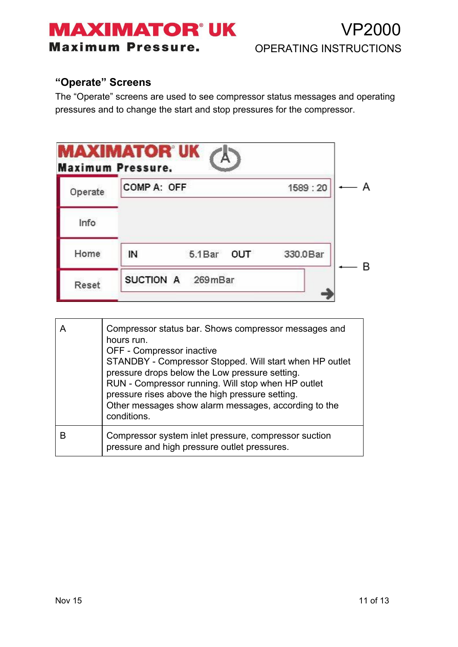### **MAXIMATOR' UK Maximum Pressure.**

#### **"Operate" Screens**

The "Operate" screens are used to see compressor status messages and operating pressures and to change the start and stop pressures for the compressor.

|         | <b>MAXIMATOR UK</b><br><b>Maximum Pressure.</b> |                |          |  |
|---------|-------------------------------------------------|----------------|----------|--|
| Operate | COMP A: OFF                                     |                | 1589:20  |  |
| Info    |                                                 |                |          |  |
| Home    | IN                                              | 5.1 Bar<br>OUT | 330.0Bar |  |
| Reset   | SUCTION A                                       | 269mBar        |          |  |

|   | Compressor status bar. Shows compressor messages and<br>hours run.<br>OFF - Compressor inactive<br>STANDBY - Compressor Stopped. Will start when HP outlet<br>pressure drops below the Low pressure setting.<br>RUN - Compressor running. Will stop when HP outlet<br>pressure rises above the high pressure setting.<br>Other messages show alarm messages, according to the<br>conditions. |
|---|----------------------------------------------------------------------------------------------------------------------------------------------------------------------------------------------------------------------------------------------------------------------------------------------------------------------------------------------------------------------------------------------|
| R | Compressor system inlet pressure, compressor suction<br>pressure and high pressure outlet pressures.                                                                                                                                                                                                                                                                                         |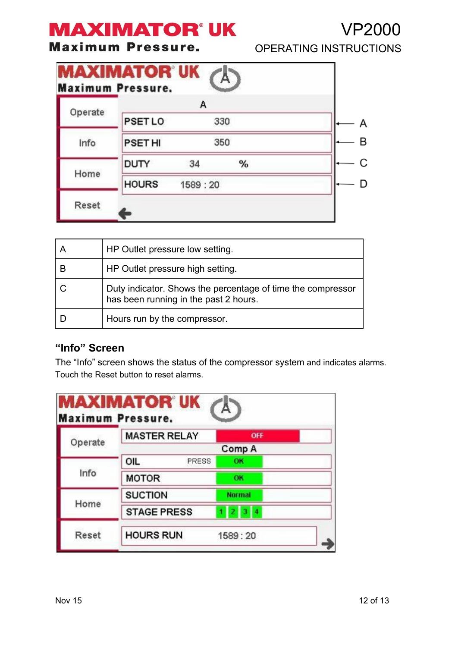**Maximum Pressure.** 

|                               | . . <i>.</i> |  |
|-------------------------------|--------------|--|
| <b>OPERATING INSTRUCTIONS</b> |              |  |

VP2000

|         | <b>MAXIMATOR UK</b><br><b>Maximum Pressure.</b> |         |     |   |
|---------|-------------------------------------------------|---------|-----|---|
|         |                                                 | А       |     |   |
| Operate | <b>PSET LO</b>                                  |         | 330 |   |
| Info    | <b>PSET HI</b>                                  |         | 350 | в |
|         | <b>DUTY</b>                                     | 34      | %   |   |
| Home    | <b>HOURS</b>                                    | 1589:20 |     | D |
| Reset   |                                                 |         |     |   |

|   | HP Outlet pressure low setting.                                                                      |
|---|------------------------------------------------------------------------------------------------------|
| В | HP Outlet pressure high setting.                                                                     |
|   | Duty indicator. Shows the percentage of time the compressor<br>has been running in the past 2 hours. |
|   | Hours run by the compressor.                                                                         |

#### **"Info" Screen**

The "Info" screen shows the status of the compressor system and indicates alarms. Touch the Reset button to reset alarms.

|         | <b>MASTER RELAY</b> | OFF           |
|---------|---------------------|---------------|
| Operate |                     | Comp A        |
|         | OIL<br><b>PRESS</b> | OK            |
| Info    | <b>MOTOR</b>        | OК            |
|         | <b>SUCTION</b>      | <b>Normal</b> |
| Home    | <b>STAGE PRESS</b>  | з<br>V.<br>2  |